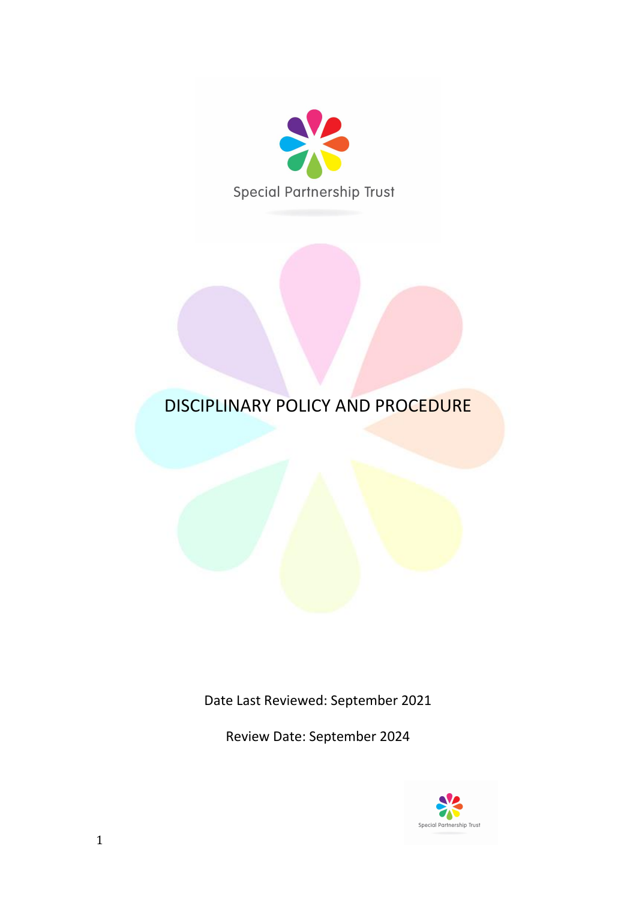

# DISCIPLINARY POLICY AND PROCEDURE

Date Last Reviewed: September 2021

Review Date: September 2024

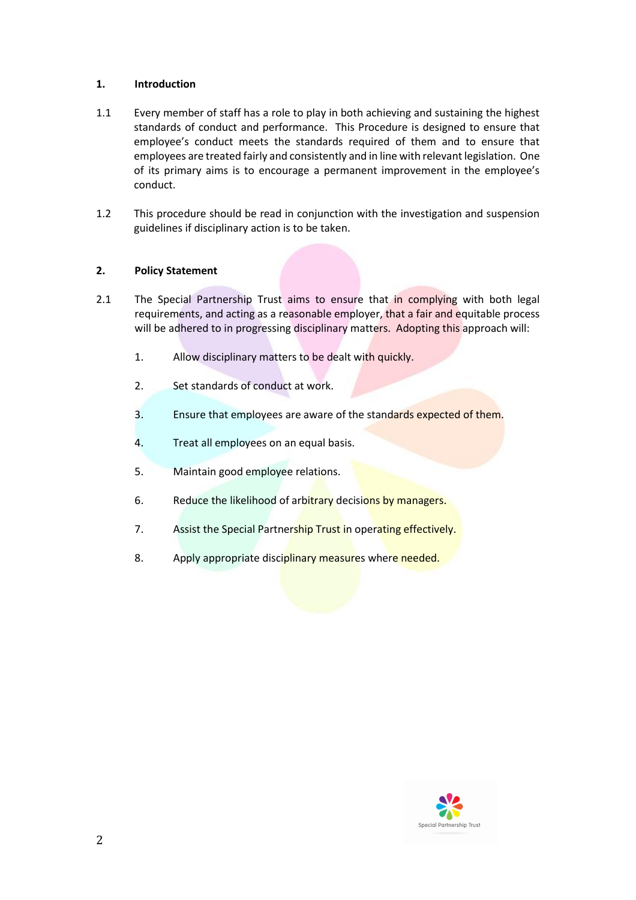## **1. Introduction**

- 1.1 Every member of staff has a role to play in both achieving and sustaining the highest standards of conduct and performance. This Procedure is designed to ensure that employee's conduct meets the standards required of them and to ensure that employees are treated fairly and consistently and in line with relevant legislation. One of its primary aims is to encourage a permanent improvement in the employee's conduct.
- 1.2 This procedure should be read in conjunction with the investigation and suspension guidelines if disciplinary action is to be taken.

## **2. Policy Statement**

- 2.1 The Special Partnership Trust aims to ensure that in complying with both legal requirements, and acting as a reasonable employer, that a fair and equitable process will be adhered to in progressing disciplinary matters. Adopting this approach will:
	- 1. Allow disciplinary matters to be dealt with quickly.
	- 2. Set standards of conduct at work.
	- 3. Ensure that employees are aware of the standards expected of them.
	- 4. Treat all employees on an equal basis.
	- 5. Maintain good employee relations.
	- 6. Reduce the likelihood of arbitrary decisions by managers.
	- 7. Assist the Special Partnership Trust in operating effectively.
	- 8. Apply appropriate disciplinary measures where needed.

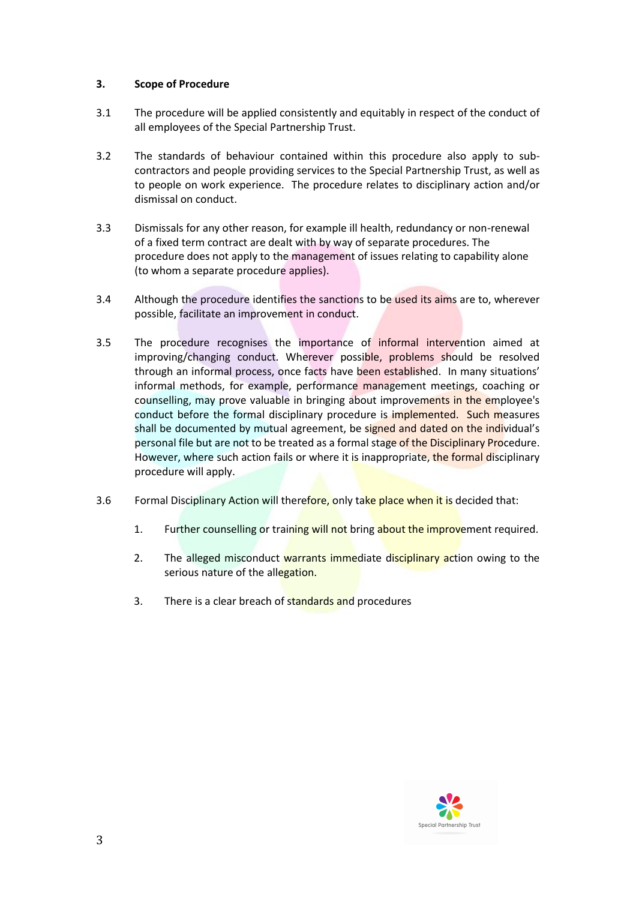# **3. Scope of Procedure**

- 3.1 The procedure will be applied consistently and equitably in respect of the conduct of all employees of the Special Partnership Trust.
- 3.2 The standards of behaviour contained within this procedure also apply to subcontractors and people providing services to the Special Partnership Trust, as well as to people on work experience. The procedure relates to disciplinary action and/or dismissal on conduct.
- 3.3 Dismissals for any other reason, for example ill health, redundancy or non-renewal of a fixed term contract are dealt with by way of separate procedures. The procedure does not apply to the management of issues relating to capability alone (to whom a separate procedure applies).
- 3.4 Although the procedure identifies the sanctions to be used its aims are to, wherever possible, facilitate an improvement in conduct.
- 3.5 The procedure recognises the importance of informal intervention aimed at improving/changing conduct. Wherever possible, problems should be resolved through an informal process, once facts have been established. In many situations' informal methods, for example, performance management meetings, coaching or counselling, may prove valuable in bringing about improvements in the employee's conduct before the formal disciplinary procedure is implemented. Such measures shall be documented by mutual agreement, be signed and dated on the individual's personal file but are not to be treated as a formal stage of the Disciplinary Procedure. However, where such action fails or where it is inappropriate, the formal disciplinary procedure will apply.
- 3.6 Formal Disciplinary Action will therefore, only take place when it is decided that:
	- 1. Further counselling or training will not bring about the improvement required.
	- 2. The alleged misconduct warrants immediate disciplinary action owing to the serious nature of the allegation.
	- 3. There is a clear breach of standards and procedures

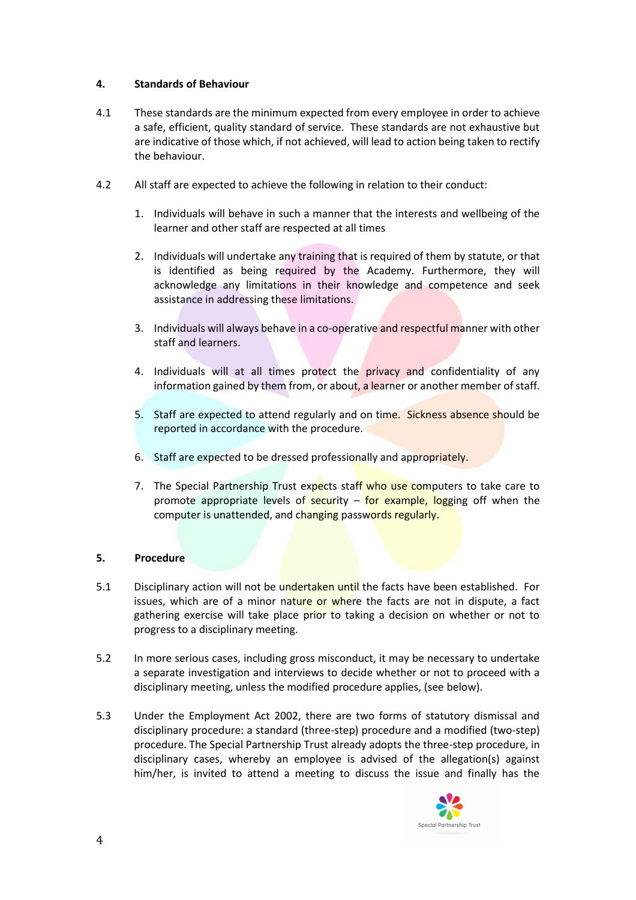# **4. Standards of Behaviour**

- 4.1 These standards are the minimum expected from every employee in order to achieve a safe, efficient, quality standard of service. These standards are not exhaustive but are indicative of those which, if not achieved, will lead to action being taken to rectify the behaviour.
- 4.2 All staff are expected to achieve the following in relation to their conduct:
	- 1. Individuals will behave in such a manner that the interests and wellbeing of the learner and other staff are respected at all times
	- 2. Individuals will undertake any training that is required of them by statute, or that is identified as being required by the Academy. Furthermore, they will acknowledge any limitations in their knowledge and competence and seek assistance in addressing these limitations.
	- 3. Individuals will always behave in a co-operative and respectful manner with other staff and learners.
	- 4. Individuals will at all times protect the privacy and confidentiality of any information gained by them from, or about, a learner or another member of staff.
	- 5. Staff are expected to attend regularly and on time. Sickness absence should be reported in accordance with the procedure.
	- 6. Staff are expected to be dressed professionally and appropriately.
	- 7. The Special Partnership Trust expects staff who use computers to take care to promote appropriate levels of security  $-$  for example, logging off when the computer is unattended, and changing passwords regularly.

### **5. Procedure**

- 5.1 Disciplinary action will not be undertaken until the facts have been established. For issues, which are of a minor nature or where the facts are not in dispute, a fact gathering exercise will take place prior to taking a decision on whether or not to progress to a disciplinary meeting.
- 5.2 In more serious cases, including gross misconduct, it may be necessary to undertake a separate investigation and interviews to decide whether or not to proceed with a disciplinary meeting, unless the modified procedure applies, (see below).
- 5.3 Under the Employment Act 2002, there are two forms of statutory dismissal and disciplinary procedure: a standard (three-step) procedure and a modified (two-step) procedure. The Special Partnership Trust already adopts the three-step procedure, in disciplinary cases, whereby an employee is advised of the allegation(s) against him/her, is invited to attend a meeting to discuss the issue and finally has the

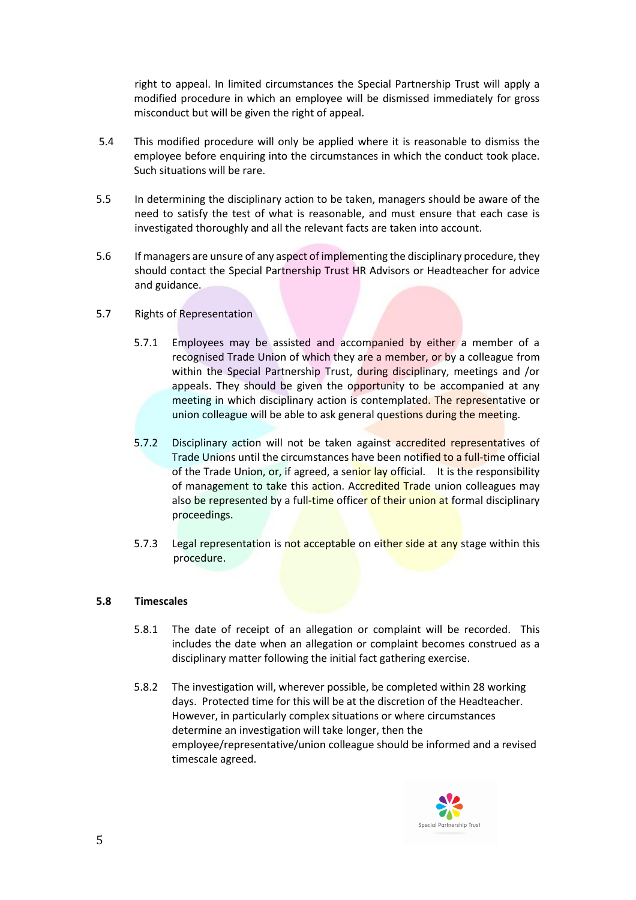right to appeal. In limited circumstances the Special Partnership Trust will apply a modified procedure in which an employee will be dismissed immediately for gross misconduct but will be given the right of appeal.

- 5.4 This modified procedure will only be applied where it is reasonable to dismiss the employee before enquiring into the circumstances in which the conduct took place. Such situations will be rare.
- 5.5 In determining the disciplinary action to be taken, managers should be aware of the need to satisfy the test of what is reasonable, and must ensure that each case is investigated thoroughly and all the relevant facts are taken into account.
- 5.6 If managers are unsure of any aspect of implementing the disciplinary procedure, they should contact the Special Partnership Trust HR Advisors or Headteacher for advice and guidance.
- 5.7 Rights of Representation
	- 5.7.1 Employees may be assisted and accompanied by either a member of a recognised Trade Union of which they are a member, or by a colleague from within the Special Partnership Trust, during disciplinary, meetings and /or appeals. They should be given the opportunity to be accompanied at any meeting in which disciplinary action is contemplated. The representative or union colleague will be able to ask general questions during the meeting.
	- 5.7.2 Disciplinary action will not be taken against accredited representatives of Trade Unions until the circumstances have been notified to a full-time official of the Trade Union, or, if agreed, a senior lay official. It is the responsibility of management to take this action. Accredited Trade union colleagues may also be represented by a full-time officer of their union at formal disciplinary proceedings.
	- 5.7.3 Legal representation is not acceptable on either side at any stage within this procedure.

### **5.8 Timescales**

- 5.8.1 The date of receipt of an allegation or complaint will be recorded. This includes the date when an allegation or complaint becomes construed as a disciplinary matter following the initial fact gathering exercise.
- 5.8.2 The investigation will, wherever possible, be completed within 28 working days. Protected time for this will be at the discretion of the Headteacher. However, in particularly complex situations or where circumstances determine an investigation will take longer, then the employee/representative/union colleague should be informed and a revised timescale agreed.

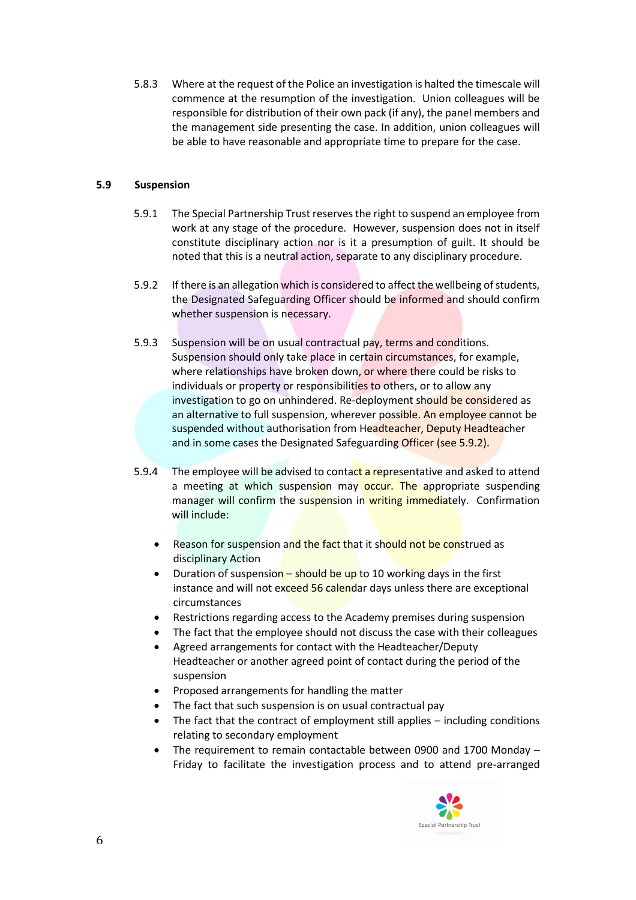5.8.3 Where at the request of the Police an investigation is halted the timescale will commence at the resumption of the investigation. Union colleagues will be responsible for distribution of their own pack (if any), the panel members and the management side presenting the case. In addition, union colleagues will be able to have reasonable and appropriate time to prepare for the case.

# **5.9 Suspension**

- 5.9.1 The Special Partnership Trust reserves the right to suspend an employee from work at any stage of the procedure. However, suspension does not in itself constitute disciplinary action nor is it a presumption of guilt. It should be noted that this is a neutral action, separate to any disciplinary procedure.
- 5.9.2 If there is an allegation which is considered to affect the wellbeing of students, the Designated Safeguarding Officer should be informed and should confirm whether suspension is necessary.
- 5.9.3 Suspension will be on usual contractual pay, terms and conditions. Suspension should only take place in certain circumstances, for example, where relationships have broken down, or where there could be risks to individuals or property or responsibilities to others, or to allow any investigation to go on unhindered. Re-deployment should be considered as an alternative to full suspension, wherever possible. An employee cannot be suspended without authorisation from Headteacher, Deputy Headteacher and in some cases the Designated Safeguarding Officer (see 5.9.2).
- 5.9**.**4 The employee will be advised to contact a representative and asked to attend a meeting at which suspension may occur. The appropriate suspending manager will confirm the suspension in writing immediately. Confirmation will include:
	- Reason for suspension and the fact that it should not be construed as disciplinary Action
	- Duration of suspension should be up to 10 working days in the first instance and will not exceed 56 calendar days unless there are exceptional circumstances
	- Restrictions regarding access to the Academy premises during suspension
	- The fact that the employee should not discuss the case with their colleagues
	- Agreed arrangements for contact with the Headteacher/Deputy Headteacher or another agreed point of contact during the period of the suspension
	- Proposed arrangements for handling the matter
	- The fact that such suspension is on usual contractual pay
	- The fact that the contract of employment still applies including conditions relating to secondary employment
	- The requirement to remain contactable between 0900 and 1700 Monday Friday to facilitate the investigation process and to attend pre-arranged

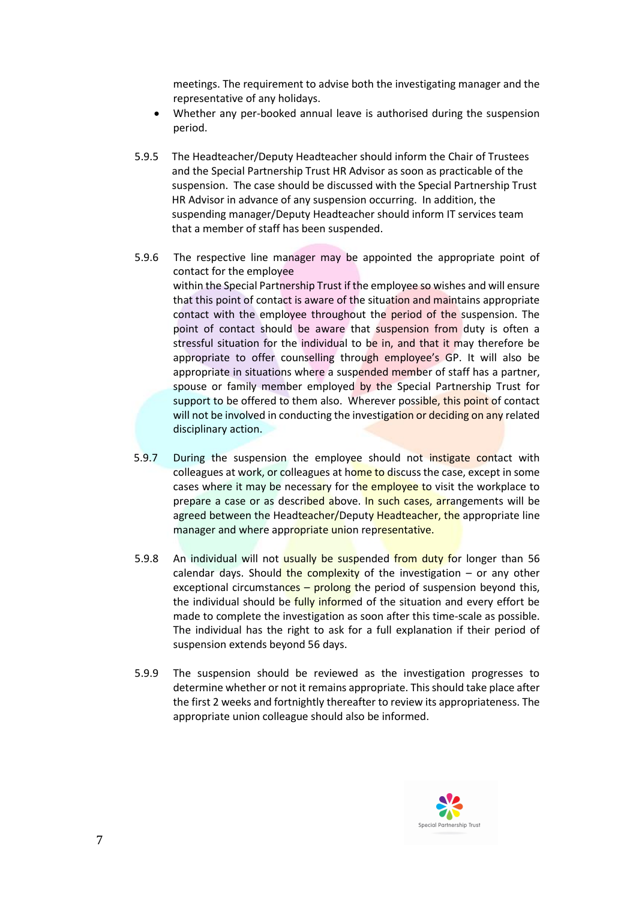meetings. The requirement to advise both the investigating manager and the representative of any holidays.

- Whether any per-booked annual leave is authorised during the suspension period.
- 5.9.5 The Headteacher/Deputy Headteacher should inform the Chair of Trustees and the Special Partnership Trust HR Advisor as soon as practicable of the suspension. The case should be discussed with the Special Partnership Trust HR Advisor in advance of any suspension occurring. In addition, the suspending manager/Deputy Headteacher should inform IT services team that a member of staff has been suspended.
- 5.9.6 The respective line manager may be appointed the appropriate point of contact for the employee within the Special Partnership Trust if the employee so wishes and will ensure that this point of contact is aware of the situation and maintains appropriate contact with the employee throughout the period of the suspension. The point of contact should be aware that suspension from duty is often a stressful situation for the individual to be in, and that it may therefore be appropriate to offer counselling through employee's GP. It will also be appropriate in situations where a suspended member of staff has a partner, spouse or family member employed by the Special Partnership Trust for support to be offered to them also. Wherever possible, this point of contact will not be involved in conducting the investigation or deciding on any related disciplinary action.
- 5.9.7 During the suspension the employee should not instigate contact with colleagues at work, or colleagues at home to discuss the case, except in some cases where it may be necessary for the employee to visit the workplace to prepare a case or as described above. In such cases, arrangements will be agreed between the Headteacher/Deputy Headteacher, the appropriate line manager and where appropriate union representative.
- 5.9.8 An individual will not usually be suspended from duty for longer than 56 calendar days. Should the complexity of the investigation  $-$  or any other exceptional circumstances – prolong the period of suspension beyond this, the individual should be fully informed of the situation and every effort be made to complete the investigation as soon after this time-scale as possible. The individual has the right to ask for a full explanation if their period of suspension extends beyond 56 days.
- 5.9.9 The suspension should be reviewed as the investigation progresses to determine whether or not it remains appropriate. This should take place after the first 2 weeks and fortnightly thereafter to review its appropriateness. The appropriate union colleague should also be informed.

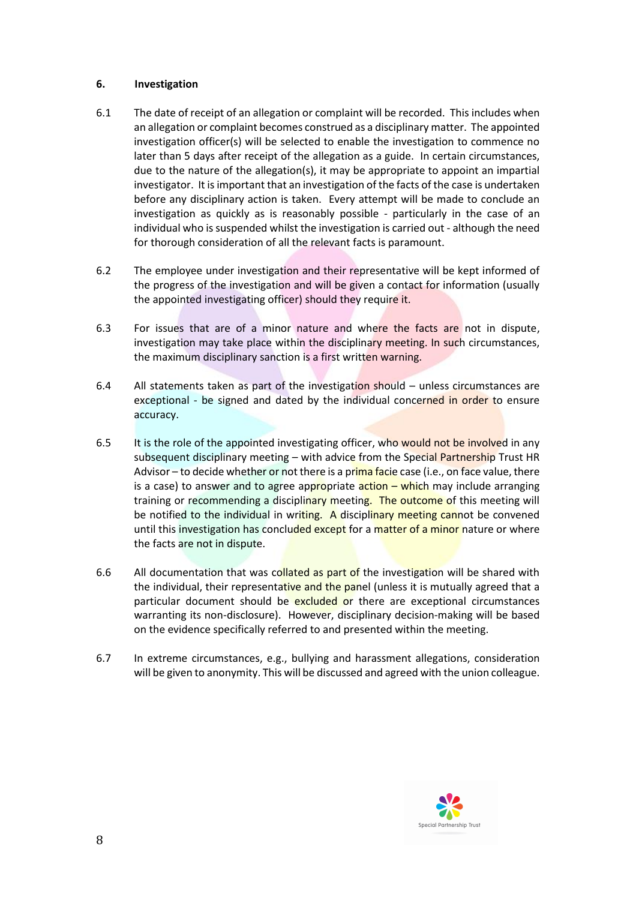## **6. Investigation**

- 6.1 The date of receipt of an allegation or complaint will be recorded. This includes when an allegation or complaint becomes construed as a disciplinary matter. The appointed investigation officer(s) will be selected to enable the investigation to commence no later than 5 days after receipt of the allegation as a guide. In certain circumstances, due to the nature of the allegation(s), it may be appropriate to appoint an impartial investigator. It is important that an investigation of the facts of the case is undertaken before any disciplinary action is taken. Every attempt will be made to conclude an investigation as quickly as is reasonably possible - particularly in the case of an individual who is suspended whilst the investigation is carried out - although the need for thorough consideration of all the relevant facts is paramount.
- 6.2 The employee under investigation and their representative will be kept informed of the progress of the investigation and will be given a contact for information (usually the appointed investigating officer) should they require it.
- 6.3 For issues that are of a minor nature and where the facts are not in dispute, investigation may take place within the disciplinary meeting. In such circumstances, the maximum disciplinary sanction is a first written warning.
- 6.4 All statements taken as part of the investigation should unless circumstances are exceptional - be signed and dated by the individual concerned in order to ensure accuracy.
- 6.5 It is the role of the appointed investigating officer, who would not be involved in any subsequent disciplinary meeting – with advice from the Special Partnership Trust HR Advisor – to decide whether or not there is a prima facie case (i.e., on face value, there is a case) to answer and to agree appropriate  $\arctan -$  which may include arranging training or recommending a disciplinary meeting. The outcome of this meeting will be notified to the individual in writing. A disciplinary meeting cannot be convened until this investigation has concluded except for a matter of a minor nature or where the facts are not in dispute.
- 6.6 All documentation that was collated as part of the investigation will be shared with the individual, their representative and the panel (unless it is mutually agreed that a particular document should be excluded or there are exceptional circumstances warranting its non-disclosure). However, disciplinary decision-making will be based on the evidence specifically referred to and presented within the meeting.
- 6.7 In extreme circumstances, e.g., bullying and harassment allegations, consideration will be given to anonymity. This will be discussed and agreed with the union colleague.

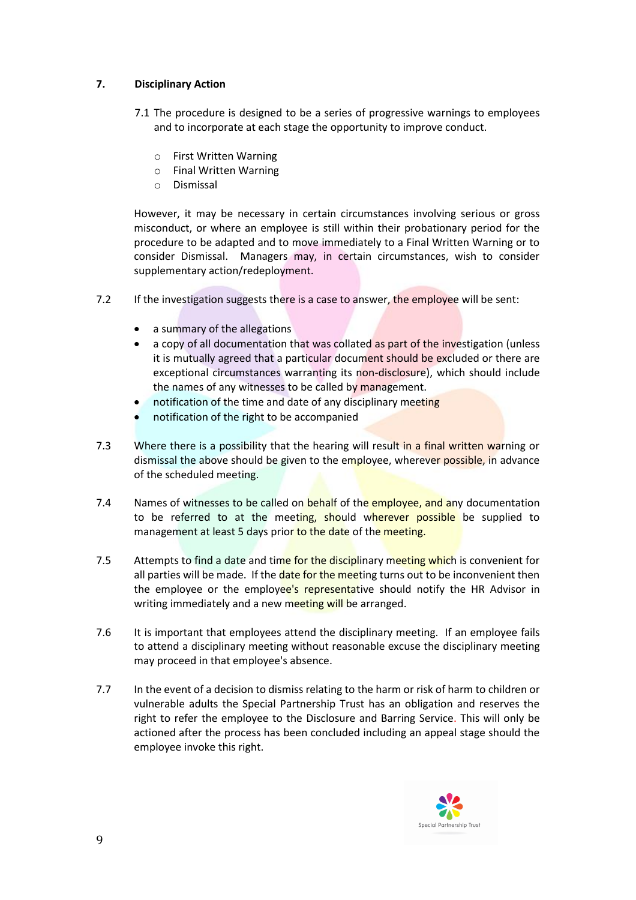# **7. Disciplinary Action**

- 7.1 The procedure is designed to be a series of progressive warnings to employees and to incorporate at each stage the opportunity to improve conduct.
	- o First Written Warning
	- o Final Written Warning
	- o Dismissal

 However, it may be necessary in certain circumstances involving serious or gross misconduct, or where an employee is still within their probationary period for the procedure to be adapted and to move immediately to a Final Written Warning or to consider Dismissal. Managers may, in certain circumstances, wish to consider supplementary action/redeployment.

- 7.2 If the investigation suggests there is a case to answer, the employee will be sent:
	- a summary of the allegations
	- a copy of all documentation that was collated as part of the investigation (unless it is mutually agreed that a particular document should be excluded or there are exceptional circumstances warranting its non-disclosure), which should include the names of any witnesses to be called by management.
	- notification of the time and date of any disciplinary meeting
	- notification of the right to be accompanied
- 7.3 Where there is a possibility that the hearing will result in a final written warning or dismissal the above should be given to the employee, wherever possible, in advance of the scheduled meeting.
- 7.4 Names of witnesses to be called on behalf of the employee, and any documentation to be referred to at the meeting, should wherever possible be supplied to management at least 5 days prior to the date of the meeting.
- 7.5 Attempts to find a date and time for the disciplinary meeting which is convenient for all parties will be made. If the date for the meeting turns out to be inconvenient then the employee or the employee's representative should notify the HR Advisor in writing immediately and a new meeting will be arranged.
- 7.6 It is important that employees attend the disciplinary meeting. If an employee fails to attend a disciplinary meeting without reasonable excuse the disciplinary meeting may proceed in that employee's absence.
- 7.7 In the event of a decision to dismiss relating to the harm or risk of harm to children or vulnerable adults the Special Partnership Trust has an obligation and reserves the right to refer the employee to the Disclosure and Barring Service. This will only be actioned after the process has been concluded including an appeal stage should the employee invoke this right.

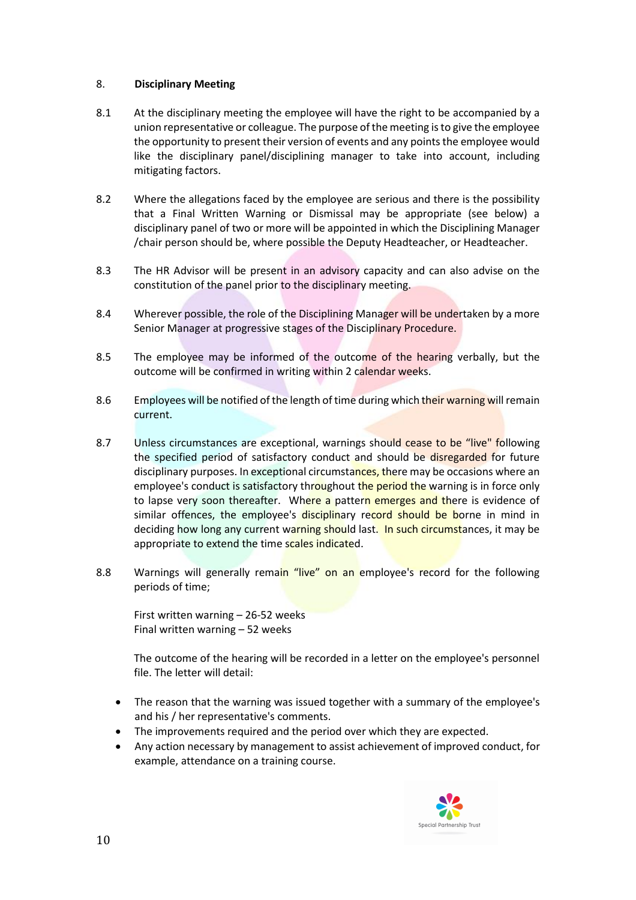## 8. **Disciplinary Meeting**

- 8.1 At the disciplinary meeting the employee will have the right to be accompanied by a union representative or colleague. The purpose of the meeting is to give the employee the opportunity to present their version of events and any points the employee would like the disciplinary panel/disciplining manager to take into account, including mitigating factors.
- 8.2 Where the allegations faced by the employee are serious and there is the possibility that a Final Written Warning or Dismissal may be appropriate (see below) a disciplinary panel of two or more will be appointed in which the Disciplining Manager /chair person should be, where possible the Deputy Headteacher, or Headteacher.
- 8.3 The HR Advisor will be present in an advisory capacity and can also advise on the constitution of the panel prior to the disciplinary meeting.
- 8.4 Wherever possible, the role of the Disciplining Manager will be undertaken by a more Senior Manager at progressive stages of the Disciplinary Procedure.
- 8.5 The employee may be informed of the outcome of the hearing verbally, but the outcome will be confirmed in writing within 2 calendar weeks.
- 8.6 Employees will be notified of the length of time during which their warning will remain current.
- 8.7 Unless circumstances are exceptional, warnings should cease to be "live" following the specified period of satisfactory conduct and should be disregarded for future disciplinary purposes. In exceptional circumstances, there may be occasions where an employee's conduct is satisfactory throughout the period the warning is in force only to lapse very soon thereafter. Where a pattern emerges and there is evidence of similar offences, the employee's disciplinary record should be borne in mind in deciding how long any current warning should last. In such circumstances, it may be appropriate to extend the time scales indicated.
- 8.8 Warnings will generally remain "live" on an employee's record for the following periods of time;

First written warning – 26-52 weeks Final written warning – 52 weeks

The outcome of the hearing will be recorded in a letter on the employee's personnel file. The letter will detail:

- The reason that the warning was issued together with a summary of the employee's and his / her representative's comments.
- The improvements required and the period over which they are expected.
- Any action necessary by management to assist achievement of improved conduct, for example, attendance on a training course.

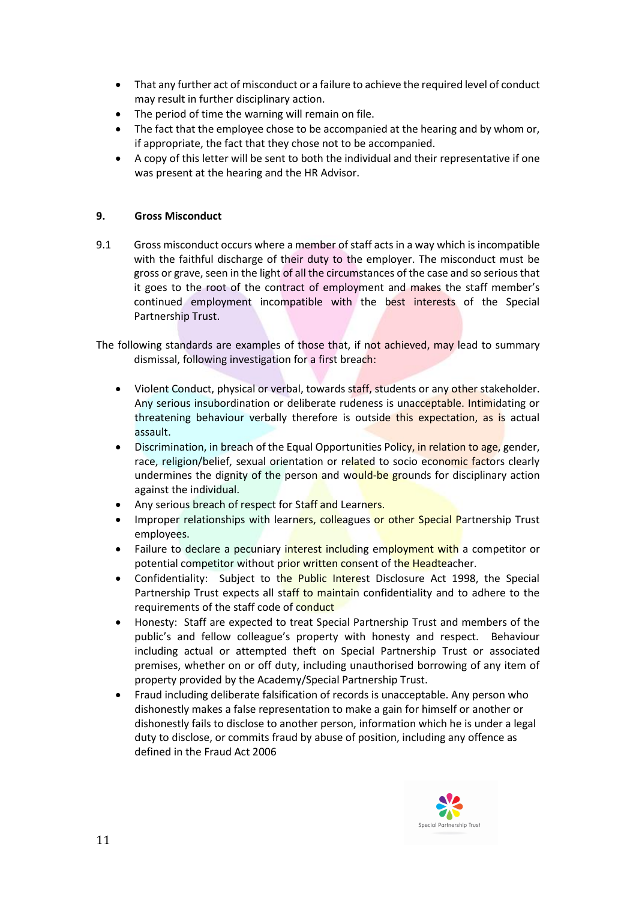- That any further act of misconduct or a failure to achieve the required level of conduct may result in further disciplinary action.
- The period of time the warning will remain on file.
- The fact that the employee chose to be accompanied at the hearing and by whom or, if appropriate, the fact that they chose not to be accompanied.
- A copy of this letter will be sent to both the individual and their representative if one was present at the hearing and the HR Advisor.

# **9. Gross Misconduct**

9.1 Gross misconduct occurs where a member of staff acts in a way which is incompatible with the faithful discharge of their duty to the employer. The misconduct must be gross or grave, seen in the light of all the circumstances of the case and so serious that it goes to the root of the contract of employment and makes the staff member's continued employment incompatible with the best interests of the Special Partnership Trust.

The following standards are examples of those that, if not achieved, may lead to summary dismissal, following investigation for a first breach:

- Violent Conduct, physical or verbal, towards staff, students or any other stakeholder. Any serious insubordination or deliberate rudeness is unacceptable. Intimidating or threatening behaviour verbally therefore is outside this expectation, as is actual assault.
- **•** Discrimination, in breach of the Equal Opportunities Policy, in relation to age, gender, race, religion/belief, sexual orientation or related to socio economic factors clearly undermines the dignity of the person and would-be grounds for disciplinary action against the individual.
- Any serious breach of respect for Staff and Learners.
- Improper relationships with learners, colleagues or other Special Partnership Trust employees.
- Failure to declare a pecuniary interest including employment with a competitor or potential competitor without prior written consent of the Headteacher.
- Confidentiality: Subject to the Public Interest Disclosure Act 1998, the Special Partnership Trust expects all staff to maintain confidentiality and to adhere to the requirements of the staff code of conduct
- Honesty: Staff are expected to treat Special Partnership Trust and members of the public's and fellow colleague's property with honesty and respect. Behaviour including actual or attempted theft on Special Partnership Trust or associated premises, whether on or off duty, including unauthorised borrowing of any item of property provided by the Academy/Special Partnership Trust.
- Fraud including deliberate falsification of records is unacceptable. Any person who dishonestly makes a false representation to make a gain for himself or another or dishonestly fails to disclose to another person, information which he is under a legal duty to disclose, or commits fraud by abuse of position, including any offence as defined in the Fraud Act 2006

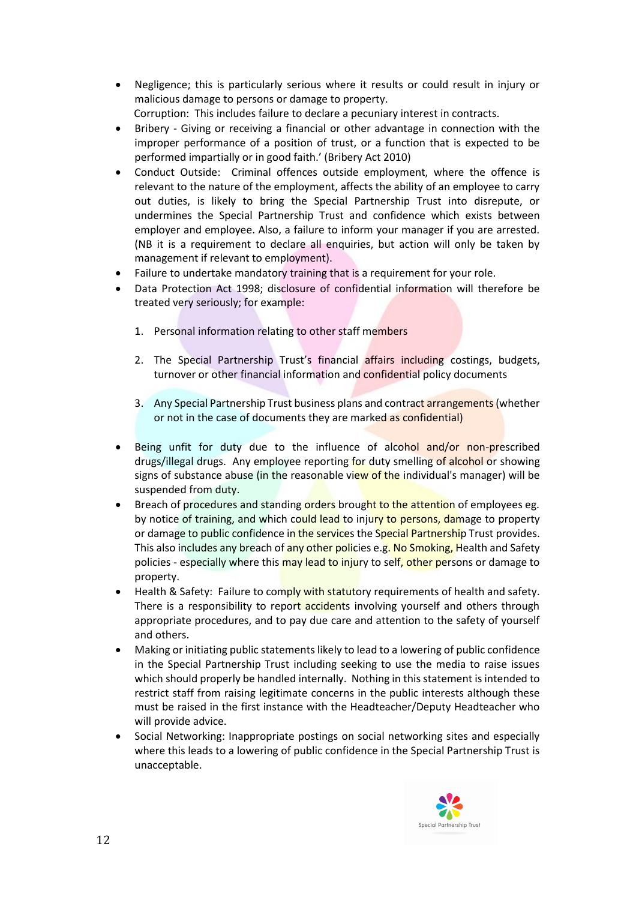- Negligence; this is particularly serious where it results or could result in injury or malicious damage to persons or damage to property.
	- Corruption: This includes failure to declare a pecuniary interest in contracts.
- Bribery Giving or receiving a financial or other advantage in connection with the improper performance of a position of trust, or a function that is expected to be performed impartially or in good faith.' (Bribery Act 2010)
- Conduct Outside: Criminal offences outside employment, where the offence is relevant to the nature of the employment, affects the ability of an employee to carry out duties, is likely to bring the Special Partnership Trust into disrepute, or undermines the Special Partnership Trust and confidence which exists between employer and employee. Also, a failure to inform your manager if you are arrested. (NB it is a requirement to declare all enquiries, but action will only be taken by management if relevant to employment).
- Failure to undertake mandatory training that is a requirement for your role.
- Data Protection Act 1998; disclosure of confidential information will therefore be treated very seriously; for example:
	- 1. Personal information relating to other staff members
	- 2. The Special Partnership Trust's financial affairs including costings, budgets, turnover or other financial information and confidential policy documents
	- 3. Any Special Partnership Trust business plans and contract arrangements (whether or not in the case of documents they are marked as confidential)
- Being unfit for duty due to the influence of alcohol and/or non-prescribed drugs/illegal drugs. Any employee reporting for duty smelling of alcohol or showing signs of substance abuse (in the reasonable view of the individual's manager) will be suspended from duty.
- Breach of procedures and standing orders brought to the attention of employees eg. by notice of training, and which could lead to injury to persons, damage to property or damage to public confidence in the services the Special Partnership Trust provides. This also includes any breach of any other policies e.g. No Smoking, Health and Safety policies - especially where this may lead to injury to self, other persons or damage to property.
- Health & Safety: Failure to comply with statutory requirements of health and safety. There is a responsibility to report accidents involving yourself and others through appropriate procedures, and to pay due care and attention to the safety of yourself and others.
- Making or initiating public statements likely to lead to a lowering of public confidence in the Special Partnership Trust including seeking to use the media to raise issues which should properly be handled internally. Nothing in this statement is intended to restrict staff from raising legitimate concerns in the public interests although these must be raised in the first instance with the Headteacher/Deputy Headteacher who will provide advice.
- Social Networking: Inappropriate postings on social networking sites and especially where this leads to a lowering of public confidence in the Special Partnership Trust is unacceptable.

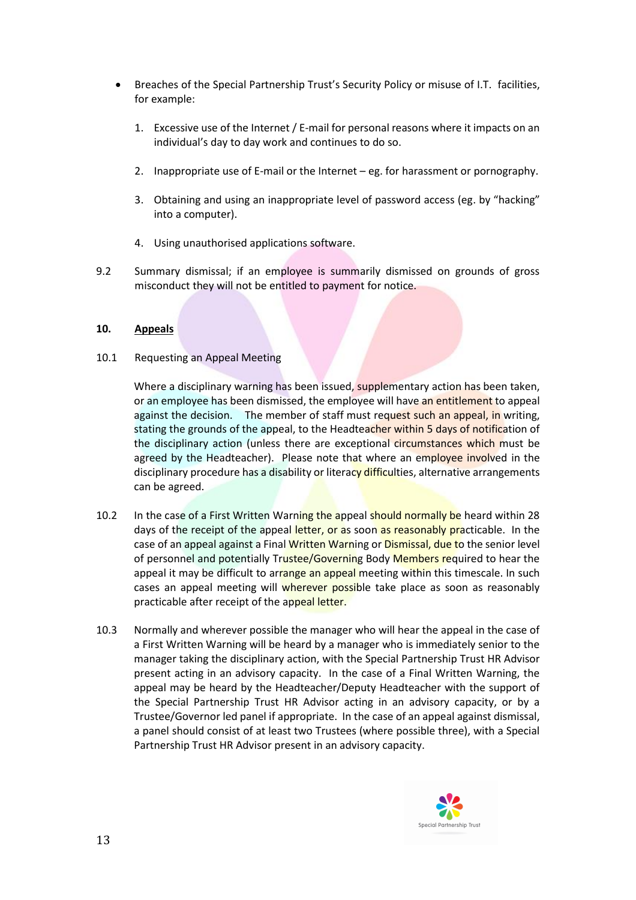- Breaches of the Special Partnership Trust's Security Policy or misuse of I.T. facilities, for example:
	- 1. Excessive use of the Internet / E-mail for personal reasons where it impacts on an individual's day to day work and continues to do so.
	- 2. Inappropriate use of E-mail or the Internet eg. for harassment or pornography.
	- 3. Obtaining and using an inappropriate level of password access (eg. by "hacking" into a computer).
	- 4. Using unauthorised applications software.
- 9.2 Summary dismissal; if an employee is summarily dismissed on grounds of gross misconduct they will not be entitled to payment for notice.

## **10. Appeals**

### 10.1 Requesting an Appeal Meeting

Where a disciplinary warning has been issued, supplementary action has been taken, or an employee has been dismissed, the employee will have an entitlement to appeal against the decision. The member of staff must request such an appeal, in writing, stating the grounds of the appeal, to the Headteacher within 5 days of notification of the disciplinary action (unless there are exceptional circumstances which must be agreed by the Headteacher). Please note that where an employee involved in the disciplinary procedure has a disability or literacy difficulties, alternative arrangements can be agreed.

- 10.2 In the case of a First Written Warning the appeal should normally be heard within 28 days of the receipt of the appeal letter, or as soon as reasonably practicable. In the case of an appeal against a Final Written Warning or Dismissal, due to the senior level of personnel and potentially Trustee/Governing Body Members required to hear the appeal it may be difficult to arrange an appeal meeting within this timescale. In such cases an appeal meeting will wherever possible take place as soon as reasonably practicable after receipt of the appeal letter.
- 10.3 Normally and wherever possible the manager who will hear the appeal in the case of a First Written Warning will be heard by a manager who is immediately senior to the manager taking the disciplinary action, with the Special Partnership Trust HR Advisor present acting in an advisory capacity. In the case of a Final Written Warning, the appeal may be heard by the Headteacher/Deputy Headteacher with the support of the Special Partnership Trust HR Advisor acting in an advisory capacity, or by a Trustee/Governor led panel if appropriate. In the case of an appeal against dismissal, a panel should consist of at least two Trustees (where possible three), with a Special Partnership Trust HR Advisor present in an advisory capacity.

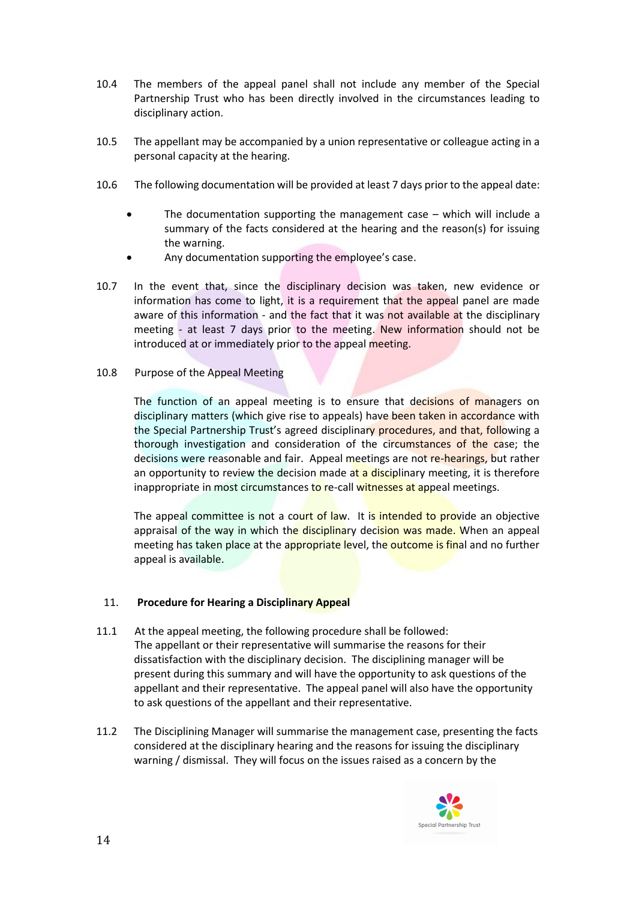- 10.4 The members of the appeal panel shall not include any member of the Special Partnership Trust who has been directly involved in the circumstances leading to disciplinary action.
- 10.5 The appellant may be accompanied by a union representative or colleague acting in a personal capacity at the hearing.
- 10**.**6 The following documentation will be provided at least 7 days prior to the appeal date:
	- The documentation supporting the management case which will include a summary of the facts considered at the hearing and the reason(s) for issuing the warning.
	- Any documentation supporting the employee's case.
- 10.7 In the event that, since the disciplinary decision was taken, new evidence or information has come to light, it is a requirement that the appeal panel are made aware of this information - and the fact that it was not available at the disciplinary meeting - at least 7 days prior to the meeting. New information should not be introduced at or immediately prior to the appeal meeting.

### 10.8 Purpose of the Appeal Meeting

The function of an appeal meeting is to ensure that decisions of managers on disciplinary matters (which give rise to appeals) have been taken in accordance with the Special Partnership Trust's agreed disciplinary procedures, and that, following a thorough investigation and consideration of the circumstances of the case; the decisions were reasonable and fair. Appeal meetings are not re-hearings, but rather an opportunity to review the decision made at a disciplinary meeting, it is therefore inappropriate in most circumstances to re-call witnesses at appeal meetings.

The appeal committee is not a court of law. It is intended to provide an objective appraisal of the way in which the disciplinary decision was made. When an appeal meeting has taken place at the appropriate level, the outcome is final and no further appeal is available.

### 11. **Procedure for Hearing a Disciplinary Appeal**

- 11.1 At the appeal meeting, the following procedure shall be followed: The appellant or their representative will summarise the reasons for their dissatisfaction with the disciplinary decision. The disciplining manager will be present during this summary and will have the opportunity to ask questions of the appellant and their representative. The appeal panel will also have the opportunity to ask questions of the appellant and their representative.
- 11.2 The Disciplining Manager will summarise the management case, presenting the facts considered at the disciplinary hearing and the reasons for issuing the disciplinary warning / dismissal. They will focus on the issues raised as a concern by the

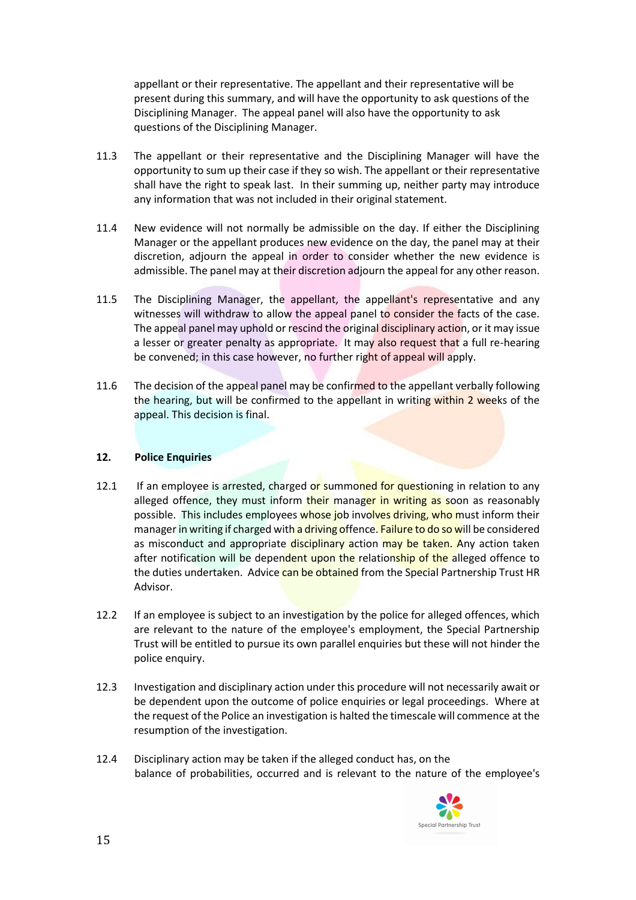appellant or their representative. The appellant and their representative will be present during this summary, and will have the opportunity to ask questions of the Disciplining Manager. The appeal panel will also have the opportunity to ask questions of the Disciplining Manager.

- 11.3 The appellant or their representative and the Disciplining Manager will have the opportunity to sum up their case if they so wish. The appellant or their representative shall have the right to speak last. In their summing up, neither party may introduce any information that was not included in their original statement.
- 11.4 New evidence will not normally be admissible on the day. If either the Disciplining Manager or the appellant produces new evidence on the day, the panel may at their discretion, adjourn the appeal in order to consider whether the new evidence is admissible. The panel may at their discretion adjourn the appeal for any other reason.
- 11.5 The Disciplining Manager, the appellant, the appellant's representative and any witnesses will withdraw to allow the appeal panel to consider the facts of the case. The appeal panel may uphold or rescind the original disciplinary action, or it may issue a lesser or greater penalty as appropriate. It may also request that a full re-hearing be convened; in this case however, no further right of appeal will apply.
- 11.6 The decision of the appeal panel may be confirmed to the appellant verbally following the hearing, but will be confirmed to the appellant in writing within 2 weeks of the appeal. This decision is final.

### **12. Police Enquiries**

- 12.1 If an employee is arrested, charged or summoned for questioning in relation to any alleged offence, they must inform their manager in writing as soon as reasonably possible. This includes employees whose job involves driving, who must inform their manager in writing if charged with a driving offence. Failure to do so will be considered as misconduct and appropriate disciplinary action may be taken. Any action taken after notification will be dependent upon the relationship of the alleged offence to the duties undertaken. Advice can be obtained from the Special Partnership Trust HR Advisor.
- 12.2 If an employee is subject to an investigation by the police for alleged offences, which are relevant to the nature of the employee's employment, the Special Partnership Trust will be entitled to pursue its own parallel enquiries but these will not hinder the police enquiry.
- 12.3 Investigation and disciplinary action under this procedure will not necessarily await or be dependent upon the outcome of police enquiries or legal proceedings. Where at the request of the Police an investigation is halted the timescale will commence at the resumption of the investigation.
- 12.4 Disciplinary action may be taken if the alleged conduct has, on the balance of probabilities, occurred and is relevant to the nature of the employee's